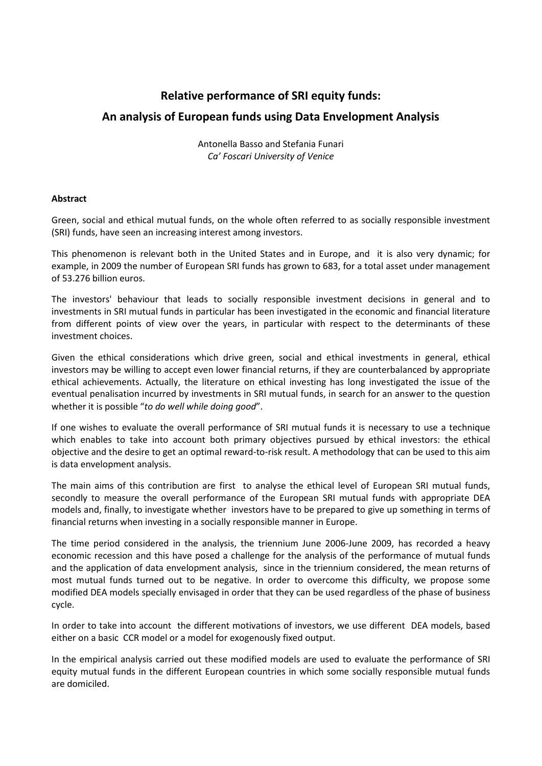## **Relative performance of SRI equity funds:**

## **An analysis of European funds using Data Envelopment Analysis**

Antonella Basso and Stefania Funari *Ca' Foscari University of Venice*

## **Abstract**

Green, social and ethical mutual funds, on the whole often referred to as socially responsible investment (SRI) funds, have seen an increasing interest among investors.

This phenomenon is relevant both in the United States and in Europe, and it is also very dynamic; for example, in 2009 the number of European SRI funds has grown to 683, for a total asset under management of 53.276 billion euros.

The investors' behaviour that leads to socially responsible investment decisions in general and to investments in SRI mutual funds in particular has been investigated in the economic and financial literature from different points of view over the years, in particular with respect to the determinants of these investment choices.

Given the ethical considerations which drive green, social and ethical investments in general, ethical investors may be willing to accept even lower financial returns, if they are counterbalanced by appropriate ethical achievements. Actually, the literature on ethical investing has long investigated the issue of the eventual penalisation incurred by investments in SRI mutual funds, in search for an answer to the question whether it is possible "*to do well while doing good*".

If one wishes to evaluate the overall performance of SRI mutual funds it is necessary to use a technique which enables to take into account both primary objectives pursued by ethical investors: the ethical objective and the desire to get an optimal reward-to-risk result. A methodology that can be used to this aim is data envelopment analysis.

The main aims of this contribution are first to analyse the ethical level of European SRI mutual funds, secondly to measure the overall performance of the European SRI mutual funds with appropriate DEA models and, finally, to investigate whether investors have to be prepared to give up something in terms of financial returns when investing in a socially responsible manner in Europe.

The time period considered in the analysis, the triennium June 2006-June 2009, has recorded a heavy economic recession and this have posed a challenge for the analysis of the performance of mutual funds and the application of data envelopment analysis, since in the triennium considered, the mean returns of most mutual funds turned out to be negative. In order to overcome this difficulty, we propose some modified DEA models specially envisaged in order that they can be used regardless of the phase of business cycle.

In order to take into account the different motivations of investors, we use different DEA models, based either on a basic CCR model or a model for exogenously fixed output.

In the empirical analysis carried out these modified models are used to evaluate the performance of SRI equity mutual funds in the different European countries in which some socially responsible mutual funds are domiciled.